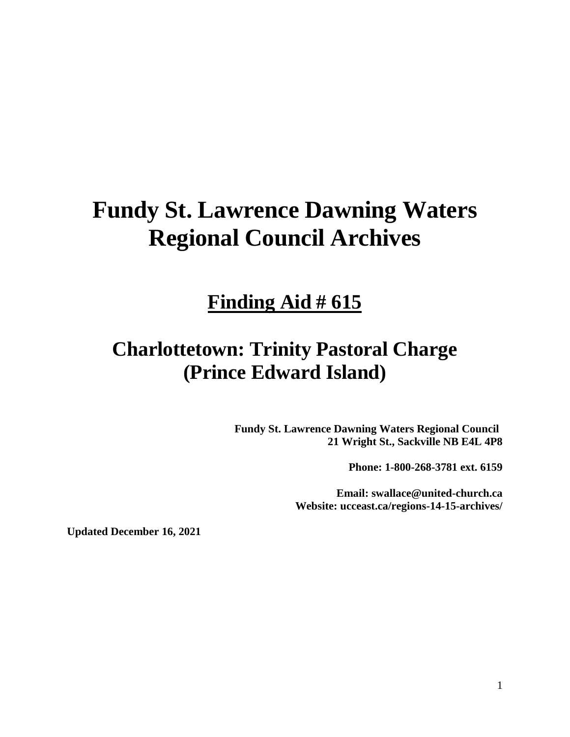# **Fundy St. Lawrence Dawning Waters Regional Council Archives**

# **Finding Aid # 615**

# **Charlottetown: Trinity Pastoral Charge (Prince Edward Island)**

**Fundy St. Lawrence Dawning Waters Regional Council 21 Wright St., Sackville NB E4L 4P8**

**Phone: 1-800-268-3781 ext. 6159**

**Email: swallace@united-church.ca Website: ucceast.ca/regions-14-15-archives/**

**Updated December 16, 2021**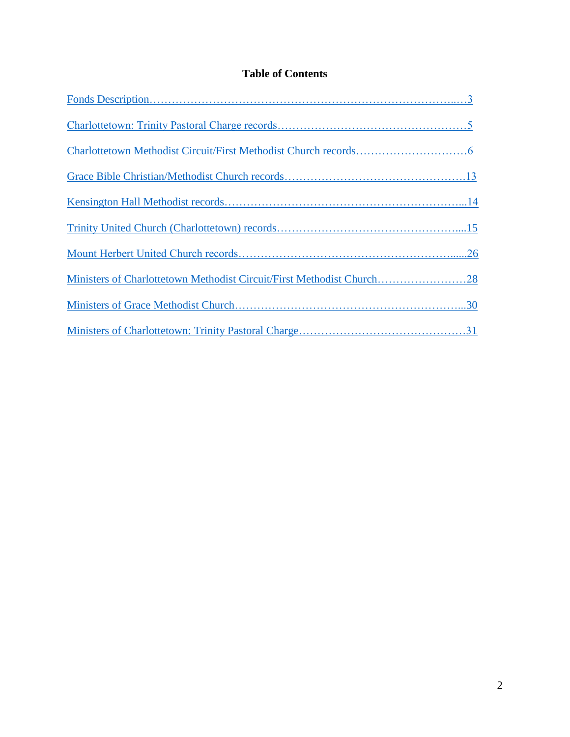# **Table of Contents**

| Ministers of Charlottetown Methodist Circuit/First Methodist Church28 |
|-----------------------------------------------------------------------|
|                                                                       |
|                                                                       |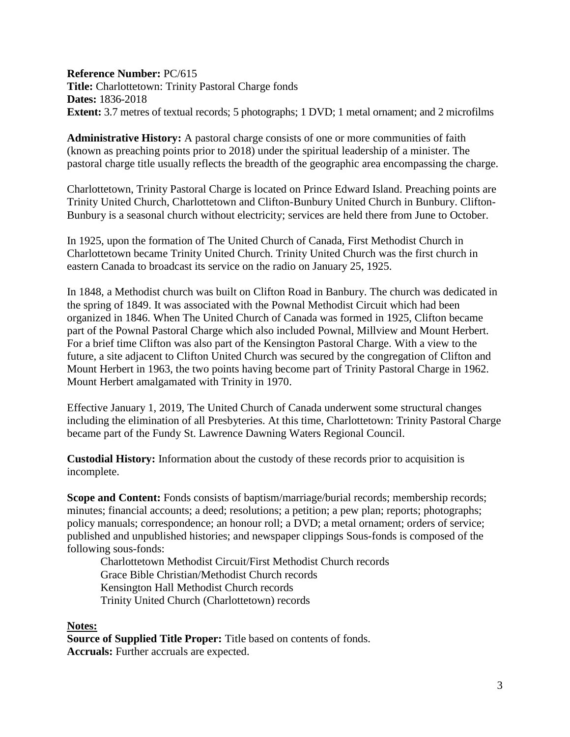<span id="page-2-0"></span>**Reference Number:** PC/615 **Title:** Charlottetown: Trinity Pastoral Charge fonds **Dates:** 1836-2018 **Extent:** 3.7 metres of textual records; 5 photographs; 1 DVD; 1 metal ornament; and 2 microfilms

**Administrative History:** A pastoral charge consists of one or more communities of faith (known as preaching points prior to 2018) under the spiritual leadership of a minister. The pastoral charge title usually reflects the breadth of the geographic area encompassing the charge.

Charlottetown, Trinity Pastoral Charge is located on Prince Edward Island. Preaching points are Trinity United Church, Charlottetown and Clifton-Bunbury United Church in Bunbury. Clifton-Bunbury is a seasonal church without electricity; services are held there from June to October.

In 1925, upon the formation of The United Church of Canada, First Methodist Church in Charlottetown became Trinity United Church. Trinity United Church was the first church in eastern Canada to broadcast its service on the radio on January 25, 1925.

In 1848, a Methodist church was built on Clifton Road in Banbury. The church was dedicated in the spring of 1849. It was associated with the Pownal Methodist Circuit which had been organized in 1846. When The United Church of Canada was formed in 1925, Clifton became part of the Pownal Pastoral Charge which also included Pownal, Millview and Mount Herbert. For a brief time Clifton was also part of the Kensington Pastoral Charge. With a view to the future, a site adjacent to Clifton United Church was secured by the congregation of Clifton and Mount Herbert in 1963, the two points having become part of Trinity Pastoral Charge in 1962. Mount Herbert amalgamated with Trinity in 1970.

Effective January 1, 2019, The United Church of Canada underwent some structural changes including the elimination of all Presbyteries. At this time, Charlottetown: Trinity Pastoral Charge became part of the Fundy St. Lawrence Dawning Waters Regional Council.

**Custodial History:** Information about the custody of these records prior to acquisition is incomplete.

**Scope and Content:** Fonds consists of baptism/marriage/burial records; membership records; minutes; financial accounts; a deed; resolutions; a petition; a pew plan; reports; photographs; policy manuals; correspondence; an honour roll; a DVD; a metal ornament; orders of service; published and unpublished histories; and newspaper clippings Sous-fonds is composed of the following sous-fonds:

Charlottetown Methodist Circuit/First Methodist Church records Grace Bible Christian/Methodist Church records Kensington Hall Methodist Church records Trinity United Church (Charlottetown) records

#### **Notes:**

**Source of Supplied Title Proper:** Title based on contents of fonds. **Accruals:** Further accruals are expected.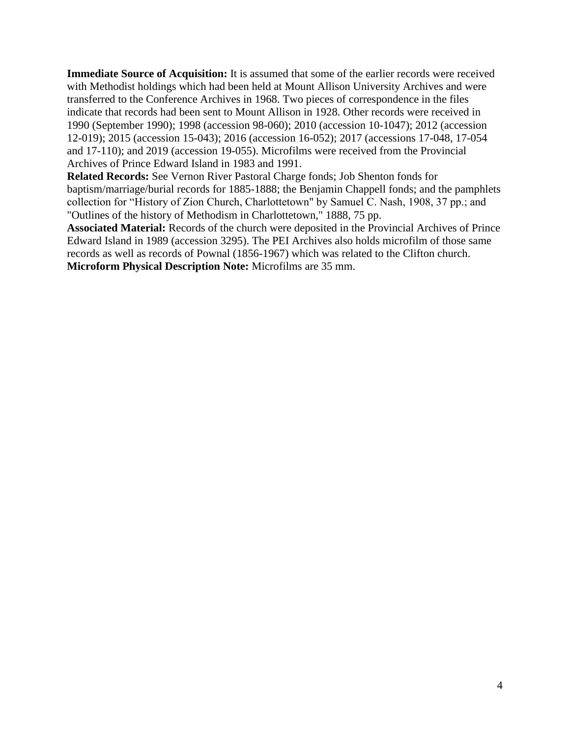**Immediate Source of Acquisition:** It is assumed that some of the earlier records were received with Methodist holdings which had been held at Mount Allison University Archives and were transferred to the Conference Archives in 1968. Two pieces of correspondence in the files indicate that records had been sent to Mount Allison in 1928. Other records were received in 1990 (September 1990); 1998 (accession 98-060); 2010 (accession 10-1047); 2012 (accession 12-019); 2015 (accession 15-043); 2016 (accession 16-052); 2017 (accessions 17-048, 17-054 and 17-110); and 2019 (accession 19-055). Microfilms were received from the Provincial Archives of Prince Edward Island in 1983 and 1991.

**Related Records:** See Vernon River Pastoral Charge fonds; Job Shenton fonds for baptism/marriage/burial records for 1885-1888; the Benjamin Chappell fonds; and the pamphlets collection for "History of Zion Church, Charlottetown" by Samuel C. Nash, 1908, 37 pp.; and "Outlines of the history of Methodism in Charlottetown," 1888, 75 pp.

**Associated Material:** Records of the church were deposited in the Provincial Archives of Prince Edward Island in 1989 (accession 3295). The PEI Archives also holds microfilm of those same records as well as records of Pownal (1856-1967) which was related to the Clifton church. **Microform Physical Description Note:** Microfilms are 35 mm.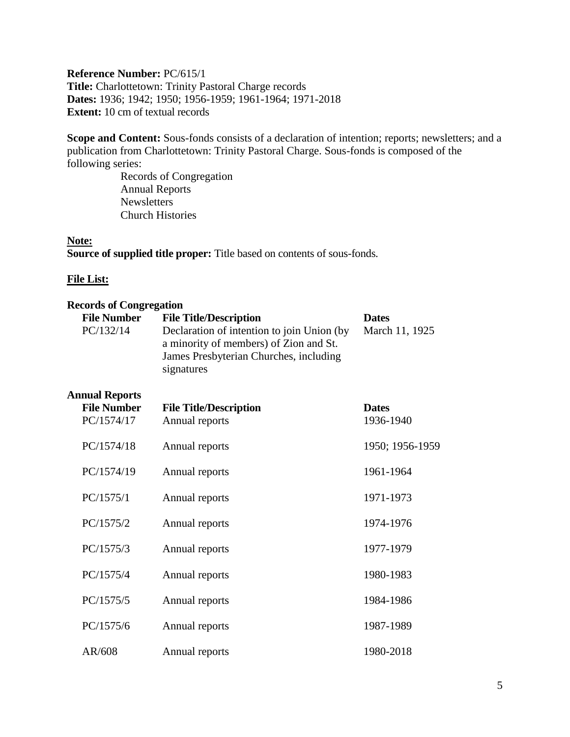### <span id="page-4-0"></span>**Reference Number:** PC/615/1 **Title:** Charlottetown: Trinity Pastoral Charge records **Dates:** 1936; 1942; 1950; 1956-1959; 1961-1964; 1971-2018 **Extent:** 10 cm of textual records

Scope and Content: Sous-fonds consists of a declaration of intention; reports; newsletters; and a publication from Charlottetown: Trinity Pastoral Charge. Sous-fonds is composed of the following series:

Records of Congregation Annual Reports Newsletters Church Histories

#### **Note:**

**Source of supplied title proper:** Title based on contents of sous-fonds.

#### **File List:**

| <b>Records of Congregation</b>                            |                                                                                                                                                                               |                                |
|-----------------------------------------------------------|-------------------------------------------------------------------------------------------------------------------------------------------------------------------------------|--------------------------------|
| <b>File Number</b><br>PC/132/14                           | <b>File Title/Description</b><br>Declaration of intention to join Union (by<br>a minority of members) of Zion and St.<br>James Presbyterian Churches, including<br>signatures | <b>Dates</b><br>March 11, 1925 |
| <b>Annual Reports</b><br><b>File Number</b><br>PC/1574/17 | <b>File Title/Description</b><br>Annual reports                                                                                                                               | <b>Dates</b><br>1936-1940      |
| PC/1574/18                                                | Annual reports                                                                                                                                                                | 1950; 1956-1959                |
| PC/1574/19                                                | Annual reports                                                                                                                                                                | 1961-1964                      |
| PC/1575/1                                                 | Annual reports                                                                                                                                                                | 1971-1973                      |
| PC/1575/2                                                 | Annual reports                                                                                                                                                                | 1974-1976                      |
| PC/1575/3                                                 | Annual reports                                                                                                                                                                | 1977-1979                      |
| PC/1575/4                                                 | Annual reports                                                                                                                                                                | 1980-1983                      |
| PC/1575/5                                                 | Annual reports                                                                                                                                                                | 1984-1986                      |
| PC/1575/6                                                 | Annual reports                                                                                                                                                                | 1987-1989                      |
| AR/608                                                    | Annual reports                                                                                                                                                                | 1980-2018                      |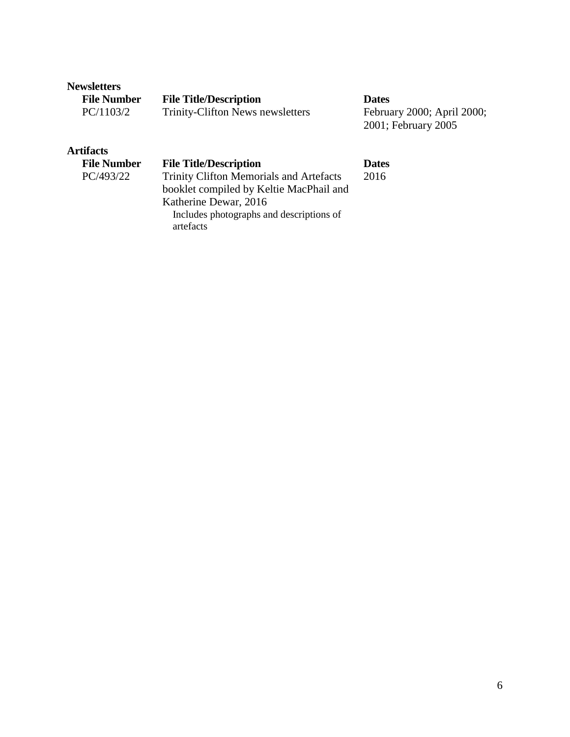#### **Newsletters**

| <b>File Number</b> | <b>File Title/Description</b>    | <b>Dates</b>               |
|--------------------|----------------------------------|----------------------------|
| PC/1103/2          | Trinity-Clifton News newsletters | February 2000; April 2000; |

2001; February 2005

# **Artifacts**

## **File Number File Title/Description Dates**

PC/493/22 Trinity Clifton Memorials and Artefacts booklet compiled by Keltie MacPhail and Katherine Dewar, 2016 Includes photographs and descriptions of artefacts

2016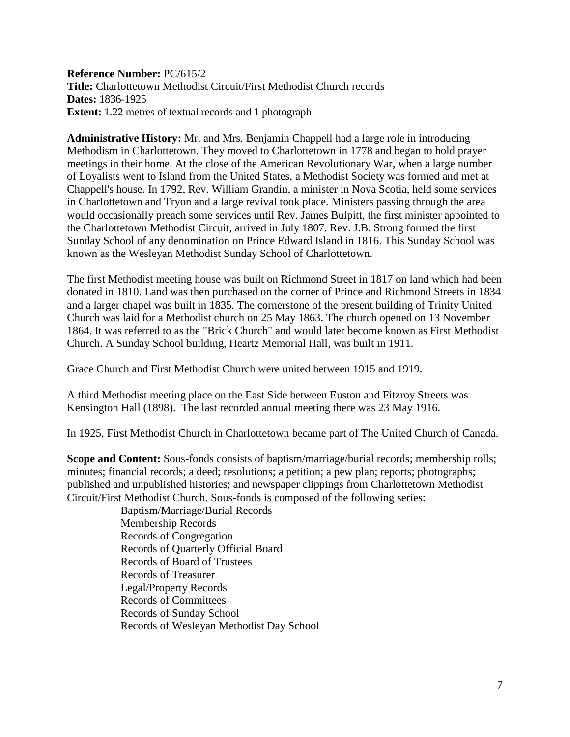<span id="page-6-0"></span>**Reference Number:** PC/615/2 **Title:** Charlottetown Methodist Circuit/First Methodist Church records **Dates:** 1836-1925 **Extent:** 1.22 metres of textual records and 1 photograph

**Administrative History:** Mr. and Mrs. Benjamin Chappell had a large role in introducing Methodism in Charlottetown. They moved to Charlottetown in 1778 and began to hold prayer meetings in their home. At the close of the American Revolutionary War, when a large number of Loyalists went to Island from the United States, a Methodist Society was formed and met at Chappell's house. In 1792, Rev. William Grandin, a minister in Nova Scotia, held some services in Charlottetown and Tryon and a large revival took place. Ministers passing through the area would occasionally preach some services until Rev. James Bulpitt, the first minister appointed to the Charlottetown Methodist Circuit, arrived in July 1807. Rev. J.B. Strong formed the first Sunday School of any denomination on Prince Edward Island in 1816. This Sunday School was known as the Wesleyan Methodist Sunday School of Charlottetown.

The first Methodist meeting house was built on Richmond Street in 1817 on land which had been donated in 1810. Land was then purchased on the corner of Prince and Richmond Streets in 1834 and a larger chapel was built in 1835. The cornerstone of the present building of Trinity United Church was laid for a Methodist church on 25 May 1863. The church opened on 13 November 1864. It was referred to as the "Brick Church" and would later become known as First Methodist Church. A Sunday School building, Heartz Memorial Hall, was built in 1911.

Grace Church and First Methodist Church were united between 1915 and 1919.

A third Methodist meeting place on the East Side between Euston and Fitzroy Streets was Kensington Hall (1898). The last recorded annual meeting there was 23 May 1916.

In 1925, First Methodist Church in Charlottetown became part of The United Church of Canada.

**Scope and Content:** Sous-fonds consists of baptism/marriage/burial records; membership rolls; minutes; financial records; a deed; resolutions; a petition; a pew plan; reports; photographs; published and unpublished histories; and newspaper clippings from Charlottetown Methodist Circuit/First Methodist Church. Sous-fonds is composed of the following series:

> Baptism/Marriage/Burial Records Membership Records Records of Congregation Records of Quarterly Official Board Records of Board of Trustees Records of Treasurer Legal/Property Records Records of Committees Records of Sunday School Records of Wesleyan Methodist Day School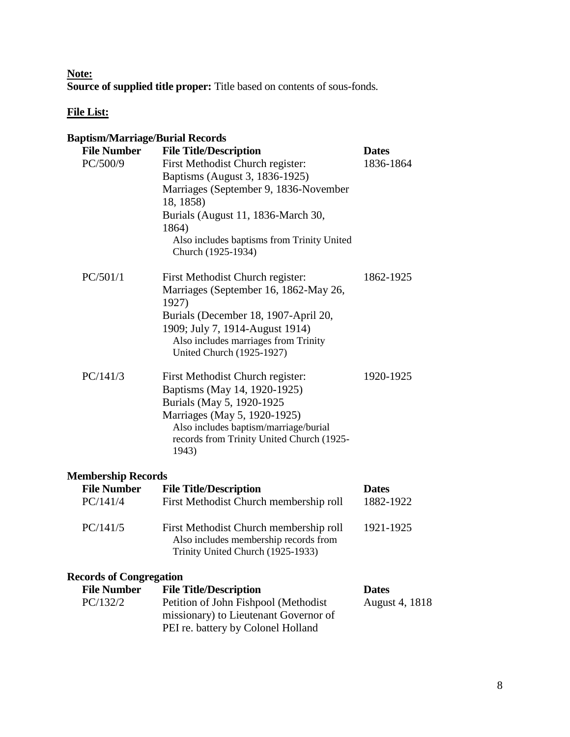**Note: Source of supplied title proper:** Title based on contents of sous-fonds.

# **File List:**

| <b>Baptism/Marriage/Burial Records</b> |                                                    |                |
|----------------------------------------|----------------------------------------------------|----------------|
| <b>File Number</b>                     | <b>File Title/Description</b>                      | <b>Dates</b>   |
| PC/500/9                               | First Methodist Church register:                   | 1836-1864      |
|                                        | Baptisms (August 3, 1836-1925)                     |                |
|                                        | Marriages (September 9, 1836-November              |                |
|                                        | 18, 1858)                                          |                |
|                                        | Burials (August 11, 1836-March 30,                 |                |
|                                        | 1864)                                              |                |
|                                        | Also includes baptisms from Trinity United         |                |
|                                        | Church (1925-1934)                                 |                |
| PC/501/1                               | First Methodist Church register:                   | 1862-1925      |
|                                        | Marriages (September 16, 1862-May 26,              |                |
|                                        | 1927)                                              |                |
|                                        | Burials (December 18, 1907-April 20,               |                |
|                                        | 1909; July 7, 1914-August 1914)                    |                |
|                                        | Also includes marriages from Trinity               |                |
|                                        | <b>United Church (1925-1927)</b>                   |                |
| PC/141/3                               | First Methodist Church register:                   | 1920-1925      |
|                                        | Baptisms (May 14, 1920-1925)                       |                |
|                                        | Burials (May 5, 1920-1925                          |                |
|                                        | Marriages (May 5, 1920-1925)                       |                |
|                                        | Also includes baptism/marriage/burial              |                |
|                                        | records from Trinity United Church (1925-<br>1943) |                |
|                                        |                                                    |                |
| <b>Membership Records</b>              |                                                    |                |
| <b>File Number</b>                     | <b>File Title/Description</b>                      | <b>Dates</b>   |
| PC/141/4                               | First Methodist Church membership roll             | 1882-1922      |
| PC/141/5                               | First Methodist Church membership roll             | 1921-1925      |
|                                        | Also includes membership records from              |                |
|                                        | Trinity United Church (1925-1933)                  |                |
| <b>Records of Congregation</b>         |                                                    |                |
| <b>File Number</b>                     | <b>File Title/Description</b>                      | <b>Dates</b>   |
| PC/132/2                               | Petition of John Fishpool (Methodist               | August 4, 1818 |
|                                        | missionary) to Lieutenant Governor of              |                |
|                                        | PEI re. battery by Colonel Holland                 |                |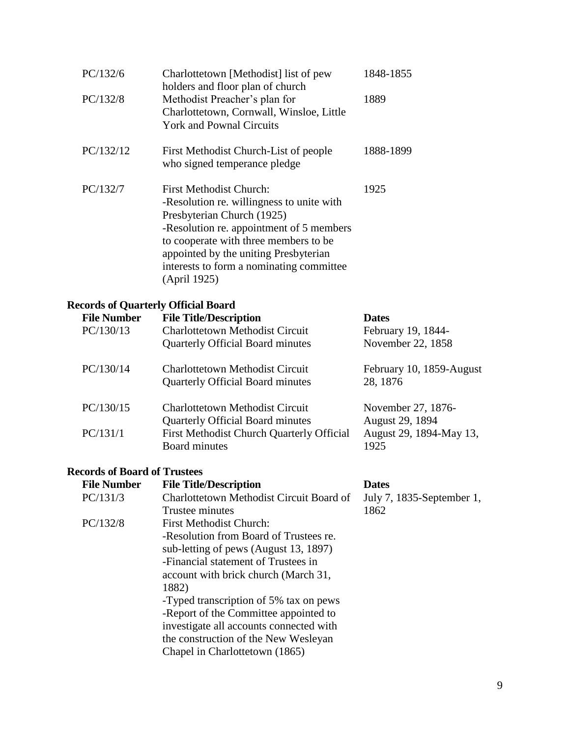| PC/132/6                                   | Charlottetown [Methodist] list of pew<br>holders and floor plan of church         | 1848-1855                 |
|--------------------------------------------|-----------------------------------------------------------------------------------|---------------------------|
| PC/132/8                                   | Methodist Preacher's plan for                                                     | 1889                      |
|                                            | Charlottetown, Cornwall, Winsloe, Little                                          |                           |
|                                            | <b>York and Pownal Circuits</b>                                                   |                           |
| PC/132/12                                  | First Methodist Church-List of people                                             | 1888-1899                 |
|                                            | who signed temperance pledge                                                      |                           |
| PC/132/7                                   | <b>First Methodist Church:</b>                                                    | 1925                      |
|                                            | -Resolution re. willingness to unite with                                         |                           |
|                                            | Presbyterian Church (1925)                                                        |                           |
|                                            | -Resolution re. appointment of 5 members                                          |                           |
|                                            | to cooperate with three members to be                                             |                           |
|                                            | appointed by the uniting Presbyterian<br>interests to form a nominating committee |                           |
|                                            | (April 1925)                                                                      |                           |
| <b>Records of Quarterly Official Board</b> |                                                                                   |                           |
| <b>File Number</b>                         | <b>File Title/Description</b>                                                     | <b>Dates</b>              |
| PC/130/13                                  | <b>Charlottetown Methodist Circuit</b>                                            | February 19, 1844-        |
|                                            | <b>Quarterly Official Board minutes</b>                                           | November 22, 1858         |
| PC/130/14                                  | <b>Charlottetown Methodist Circuit</b>                                            | February 10, 1859-August  |
|                                            | <b>Quarterly Official Board minutes</b>                                           | 28, 1876                  |
| PC/130/15                                  | <b>Charlottetown Methodist Circuit</b>                                            | November 27, 1876-        |
|                                            | <b>Quarterly Official Board minutes</b>                                           | August 29, 1894           |
| PC/131/1                                   | First Methodist Church Quarterly Official                                         | August 29, 1894-May 13,   |
|                                            | <b>Board minutes</b>                                                              | 1925                      |
| <b>Records of Board of Trustees</b>        |                                                                                   |                           |
| <b>File Number</b>                         | <b>File Title/Description</b>                                                     | <b>Dates</b>              |
| PC/131/3                                   | Charlottetown Methodist Circuit Board of                                          | July 7, 1835-September 1, |
|                                            | Trustee minutes                                                                   | 1862                      |
| PC/132/8                                   | <b>First Methodist Church:</b><br>-Resolution from Board of Trustees re.          |                           |
|                                            | sub-letting of pews (August 13, 1897)                                             |                           |
|                                            | -Financial statement of Trustees in                                               |                           |
|                                            | account with brick church (March 31,                                              |                           |
|                                            |                                                                                   |                           |

1882)

-Typed transcription of 5% tax on pews -Report of the Committee appointed to investigate all accounts connected with the construction of the New Wesleyan

Chapel in Charlottetown (1865)

9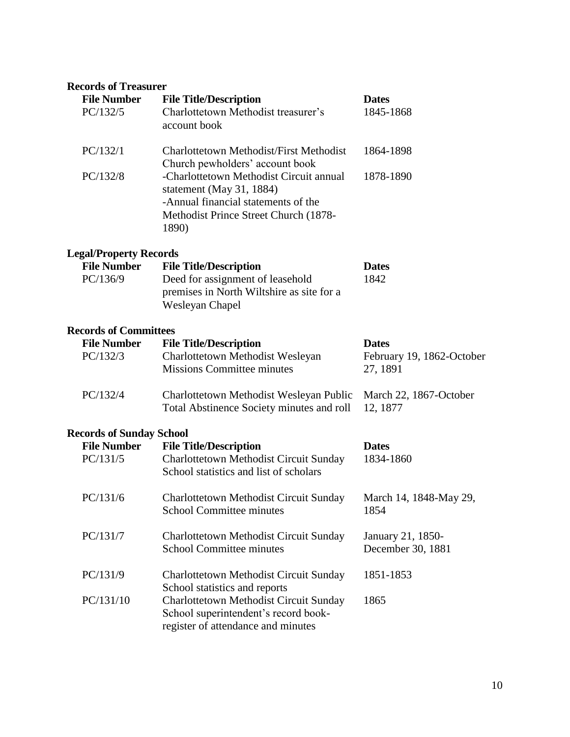# **Records of Treasurer**

| <b>File Number</b><br>PC/132/5 | <b>File Title/Description</b><br>Charlottetown Methodist treasurer's<br>account book                                                                         | <b>Dates</b><br>1845-1868 |
|--------------------------------|--------------------------------------------------------------------------------------------------------------------------------------------------------------|---------------------------|
| PC/132/1                       | Charlottetown Methodist/First Methodist<br>Church pewholders' account book                                                                                   | 1864-1898                 |
| PC/132/8                       | -Charlottetown Methodist Circuit annual<br>statement (May 31, 1884)<br>-Annual financial statements of the<br>Methodist Prince Street Church (1878-<br>1890) | 1878-1890                 |

# **Legal/Property Records**

| <b>File Number</b> | <b>File Title/Description</b>             | <b>Dates</b> |
|--------------------|-------------------------------------------|--------------|
| PC/136/9           | 1842<br>Deed for assignment of leasehold  |              |
|                    | premises in North Wiltshire as site for a |              |
|                    | Wesleyan Chapel                           |              |

# **Records of Committees**

| <b>File Number</b> | <b>File Title/Description</b>                                                                               | <b>Dates</b>                          |
|--------------------|-------------------------------------------------------------------------------------------------------------|---------------------------------------|
| PC/132/3           | Charlottetown Methodist Wesleyan<br><b>Missions Committee minutes</b>                                       | February 19, 1862-October<br>27, 1891 |
| PC/132/4           | Charlottetown Methodist Wesleyan Public March 22, 1867-October<br>Total Abstinence Society minutes and roll | 12, 1877                              |

# **Records of Sunday School**

| <b>File Number</b><br>PC/131/5 | <b>File Title/Description</b><br><b>Charlottetown Methodist Circuit Sunday</b><br>School statistics and list of scholars | <b>Dates</b><br>1834-1860              |
|--------------------------------|--------------------------------------------------------------------------------------------------------------------------|----------------------------------------|
| PC/131/6                       | Charlottetown Methodist Circuit Sunday<br><b>School Committee minutes</b>                                                | March 14, 1848-May 29,<br>1854         |
| PC/131/7                       | Charlottetown Methodist Circuit Sunday<br><b>School Committee minutes</b>                                                | January 21, 1850-<br>December 30, 1881 |
| PC/131/9                       | Charlottetown Methodist Circuit Sunday<br>School statistics and reports                                                  | 1851-1853                              |
| PC/131/10                      | Charlottetown Methodist Circuit Sunday<br>School superintendent's record book-<br>register of attendance and minutes     | 1865                                   |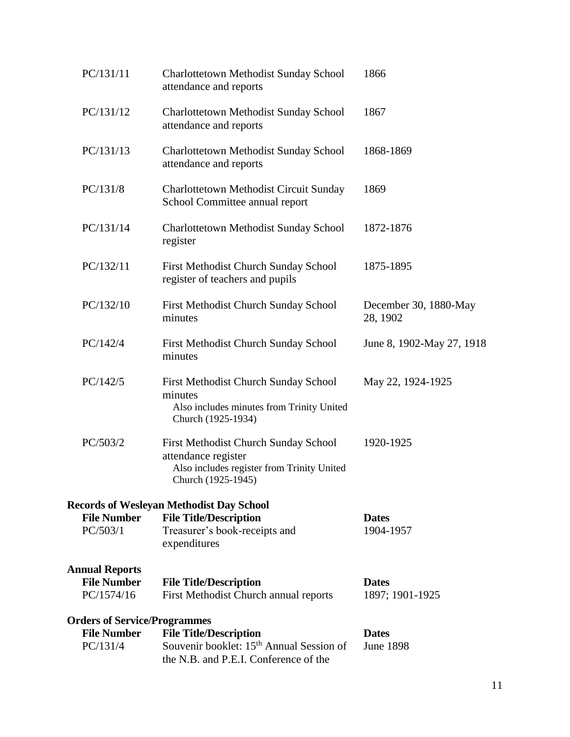| PC/131/11<br>1866<br><b>Charlottetown Methodist Sunday School</b><br>attendance and reports                                                                                                                                                 |                           |
|---------------------------------------------------------------------------------------------------------------------------------------------------------------------------------------------------------------------------------------------|---------------------------|
| PC/131/12<br>1867<br><b>Charlottetown Methodist Sunday School</b><br>attendance and reports                                                                                                                                                 |                           |
| PC/131/13<br><b>Charlottetown Methodist Sunday School</b><br>1868-1869<br>attendance and reports                                                                                                                                            |                           |
| PC/131/8<br>1869<br><b>Charlottetown Methodist Circuit Sunday</b><br>School Committee annual report                                                                                                                                         |                           |
| PC/131/14<br><b>Charlottetown Methodist Sunday School</b><br>1872-1876<br>register                                                                                                                                                          |                           |
| PC/132/11<br>First Methodist Church Sunday School<br>1875-1895<br>register of teachers and pupils                                                                                                                                           |                           |
| PC/132/10<br>First Methodist Church Sunday School<br>28, 1902<br>minutes                                                                                                                                                                    | December 30, 1880-May     |
| PC/142/4<br>First Methodist Church Sunday School<br>minutes                                                                                                                                                                                 | June 8, 1902-May 27, 1918 |
| PC/142/5<br>First Methodist Church Sunday School<br>May 22, 1924-1925<br>minutes<br>Also includes minutes from Trinity United<br>Church (1925-1934)                                                                                         |                           |
| PC/503/2<br>First Methodist Church Sunday School<br>1920-1925<br>attendance register<br>Also includes register from Trinity United<br>Church (1925-1945)                                                                                    |                           |
| <b>Records of Wesleyan Methodist Day School</b>                                                                                                                                                                                             |                           |
| <b>File Title/Description</b><br><b>File Number</b><br><b>Dates</b><br>PC/503/1<br>Treasurer's book-receipts and<br>1904-1957<br>expenditures                                                                                               |                           |
| <b>Annual Reports</b>                                                                                                                                                                                                                       |                           |
| <b>File Number</b><br><b>File Title/Description</b><br><b>Dates</b><br>PC/1574/16<br>First Methodist Church annual reports<br>1897; 1901-1925                                                                                               |                           |
| <b>Orders of Service/Programmes</b><br><b>File Number</b><br><b>File Title/Description</b><br><b>Dates</b><br>Souvenir booklet: 15 <sup>th</sup> Annual Session of<br>PC/131/4<br><b>June 1898</b><br>the N.B. and P.E.I. Conference of the |                           |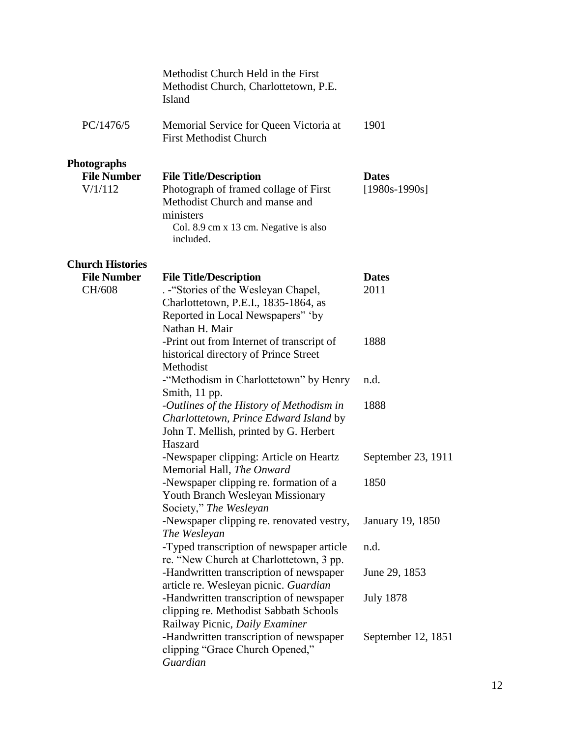|                                                     | Methodist Church Held in the First<br>Methodist Church, Charlottetown, P.E.<br>Island                                                                                       |                                 |
|-----------------------------------------------------|-----------------------------------------------------------------------------------------------------------------------------------------------------------------------------|---------------------------------|
| PC/1476/5                                           | Memorial Service for Queen Victoria at<br><b>First Methodist Church</b>                                                                                                     | 1901                            |
| <b>Photographs</b><br><b>File Number</b><br>V/1/112 | <b>File Title/Description</b><br>Photograph of framed collage of First<br>Methodist Church and manse and<br>ministers<br>Col. 8.9 cm x 13 cm. Negative is also<br>included. | <b>Dates</b><br>$[1980s-1990s]$ |
| <b>Church Histories</b>                             |                                                                                                                                                                             |                                 |
| <b>File Number</b><br>CH/608                        | <b>File Title/Description</b><br>. - "Stories of the Wesleyan Chapel,<br>Charlottetown, P.E.I., 1835-1864, as<br>Reported in Local Newspapers" 'by<br>Nathan H. Mair        | <b>Dates</b><br>2011            |
|                                                     | -Print out from Internet of transcript of<br>historical directory of Prince Street<br>Methodist                                                                             | 1888                            |
|                                                     | -"Methodism in Charlottetown" by Henry<br>Smith, 11 pp.                                                                                                                     | n.d.                            |
|                                                     | -Outlines of the History of Methodism in<br>Charlottetown, Prince Edward Island by<br>John T. Mellish, printed by G. Herbert<br>Haszard                                     | 1888                            |
|                                                     | -Newspaper clipping: Article on Heartz<br>Memorial Hall, The Onward                                                                                                         | September 23, 1911              |
|                                                     | -Newspaper clipping re. formation of a<br>Youth Branch Wesleyan Missionary<br>Society," The Wesleyan                                                                        | 1850                            |
|                                                     | -Newspaper clipping re. renovated vestry,<br>The Wesleyan                                                                                                                   | January 19, 1850                |
|                                                     | -Typed transcription of newspaper article<br>re. "New Church at Charlottetown, 3 pp.                                                                                        | n.d.                            |
|                                                     | -Handwritten transcription of newspaper<br>article re. Wesleyan picnic. Guardian                                                                                            | June 29, 1853                   |
|                                                     | -Handwritten transcription of newspaper<br>clipping re. Methodist Sabbath Schools<br>Railway Picnic, Daily Examiner                                                         | <b>July 1878</b>                |
|                                                     | -Handwritten transcription of newspaper<br>clipping "Grace Church Opened,"<br>Guardian                                                                                      | September 12, 1851              |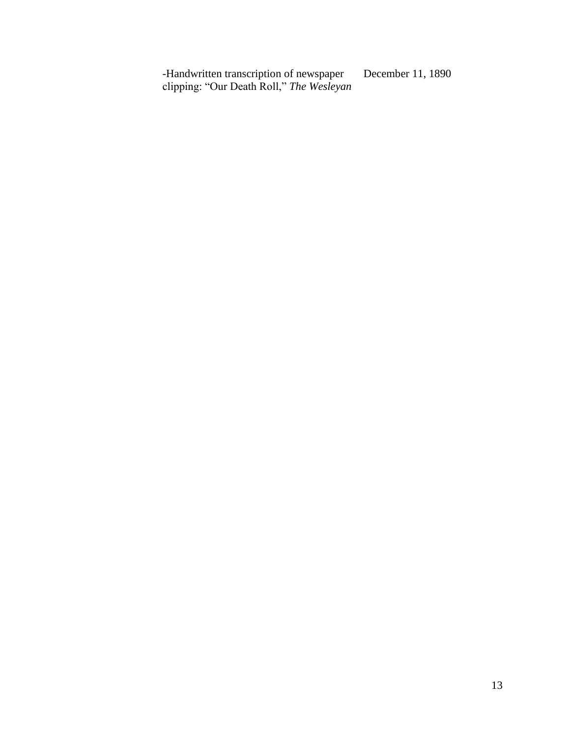-Handwritten transcription of newspaper clipping: "Our Death Roll," *The Wesleyan* December 11, 1890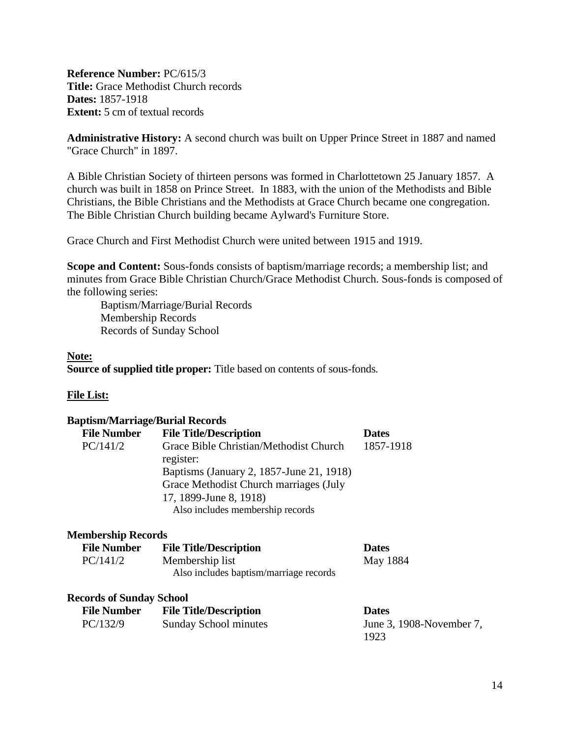<span id="page-13-0"></span>**Reference Number:** PC/615/3 **Title:** Grace Methodist Church records **Dates:** 1857-1918 **Extent:** 5 cm of textual records

**Administrative History:** A second church was built on Upper Prince Street in 1887 and named "Grace Church" in 1897.

A Bible Christian Society of thirteen persons was formed in Charlottetown 25 January 1857. A church was built in 1858 on Prince Street. In 1883, with the union of the Methodists and Bible Christians, the Bible Christians and the Methodists at Grace Church became one congregation. The Bible Christian Church building became Aylward's Furniture Store.

Grace Church and First Methodist Church were united between 1915 and 1919.

**Scope and Content:** Sous-fonds consists of baptism/marriage records; a membership list; and minutes from Grace Bible Christian Church/Grace Methodist Church. Sous-fonds is composed of the following series:

Baptism/Marriage/Burial Records Membership Records Records of Sunday School

#### **Note:**

**Source of supplied title proper:** Title based on contents of sous-fonds.

#### **File List:**

| <b>Baptism/Marriage/Burial Records</b> |                                                     |              |
|----------------------------------------|-----------------------------------------------------|--------------|
| <b>File Number</b>                     | <b>File Title/Description</b>                       | <b>Dates</b> |
| PC/141/2                               | Grace Bible Christian/Methodist Church<br>register: | 1857-1918    |
|                                        | Baptisms (January 2, 1857-June 21, 1918)            |              |
|                                        | Grace Methodist Church marriages (July              |              |
|                                        | 17, 1899-June 8, 1918)                              |              |
|                                        | Also includes membership records                    |              |
| <b>Membership Records</b>              |                                                     |              |
| <b>File Number</b>                     | <b>File Title/Description</b>                       | <b>Dates</b> |
| PC/141/2                               | Membership list                                     | May 1884     |
|                                        | Also includes baptism/marriage records              |              |
| <b>Records of Sunday School</b>        |                                                     |              |
|                                        | <b>File Number</b> File Title/Description           | <b>Dates</b> |
|                                        |                                                     |              |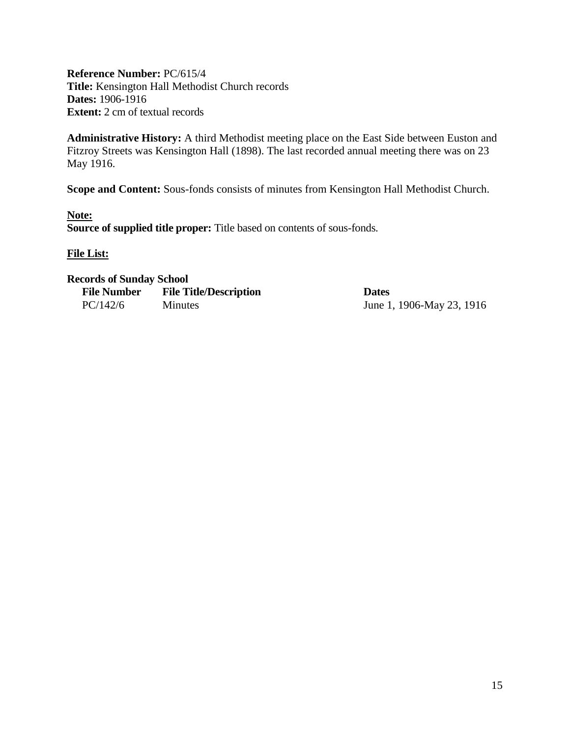<span id="page-14-0"></span>**Reference Number:** PC/615/4 **Title:** Kensington Hall Methodist Church records **Dates:** 1906-1916 **Extent:** 2 cm of textual records

**Administrative History:** A third Methodist meeting place on the East Side between Euston and Fitzroy Streets was Kensington Hall (1898). The last recorded annual meeting there was on 23 May 1916.

**Scope and Content:** Sous-fonds consists of minutes from Kensington Hall Methodist Church.

**Note: Source of supplied title proper:** Title based on contents of sous-fonds.

**File List:**

#### **Records of Sunday School**

| <b>File Number</b> | <b>File Title/Description</b> | <b>Dates</b> |
|--------------------|-------------------------------|--------------|
| PC/142/6           | <b>Minutes</b>                | June 1       |

June 1, 1906-May 23, 1916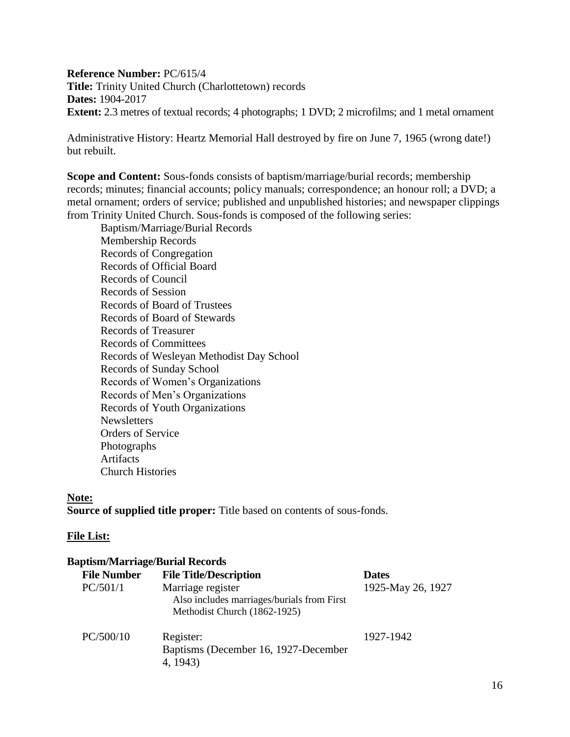**Reference Number:** PC/615/4 **Title:** Trinity United Church (Charlottetown) records **Dates:** 1904-2017 **Extent:** 2.3 metres of textual records; 4 photographs; 1 DVD; 2 microfilms; and 1 metal ornament

Administrative History: Heartz Memorial Hall destroyed by fire on June 7, 1965 (wrong date!) but rebuilt.

**Scope and Content:** Sous-fonds consists of baptism/marriage/burial records; membership records; minutes; financial accounts; policy manuals; correspondence; an honour roll; a DVD; a metal ornament; orders of service; published and unpublished histories; and newspaper clippings from Trinity United Church. Sous-fonds is composed of the following series:

Baptism/Marriage/Burial Records Membership Records Records of Congregation Records of Official Board Records of Council Records of Session Records of Board of Trustees Records of Board of Stewards Records of Treasurer Records of Committees Records of Wesleyan Methodist Day School Records of Sunday School Records of Women's Organizations Records of Men's Organizations Records of Youth Organizations **Newsletters** Orders of Service Photographs Artifacts Church Histories

#### **Note:**

**Source of supplied title proper:** Title based on contents of sous-fonds.

#### **File List:**

#### **Baptism/Marriage/Burial Records**

| <b>File Number</b> | <b>File Title/Description</b>                                                                   | <b>Dates</b>      |
|--------------------|-------------------------------------------------------------------------------------------------|-------------------|
| PC/501/1           | Marriage register<br>Also includes marriages/burials from First<br>Methodist Church (1862-1925) | 1925-May 26, 1927 |
| PC/500/10          | Register:<br>Baptisms (December 16, 1927-December<br>4, 1943)                                   | 1927-1942         |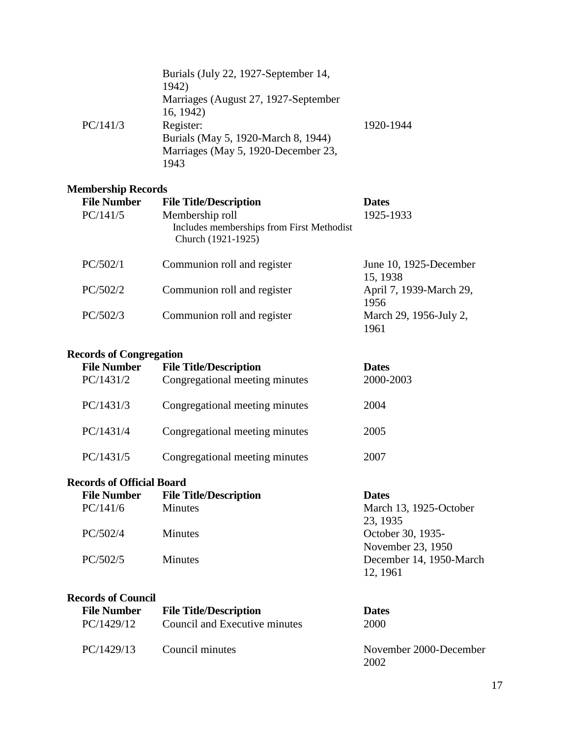|          | Burials (July 22, 1927-September 14,<br>1942)<br>Marriages (August 27, 1927-September |           |
|----------|---------------------------------------------------------------------------------------|-----------|
|          | 16, 1942)                                                                             |           |
| PC/141/3 | Register:                                                                             | 1920-1944 |
|          | Burials (May 5, 1920-March 8, 1944)                                                   |           |
|          | Marriages (May 5, 1920-December 23,                                                   |           |
|          | 1943                                                                                  |           |

## **Membership Records**

| <b>File Number</b><br>PC/141/5 | <b>File Title/Description</b><br>Membership roll<br>Includes memberships from First Methodist<br>Church (1921-1925) | <b>Dates</b><br>1925-1933          |
|--------------------------------|---------------------------------------------------------------------------------------------------------------------|------------------------------------|
| PC/502/1                       | Communion roll and register                                                                                         | June 10, 1925-December<br>15, 1938 |
| PC/502/2                       | Communion roll and register                                                                                         | April 7, 1939-March 29,<br>1956    |
| PC/502/3                       | Communion roll and register                                                                                         | March 29, 1956-July 2,<br>1961     |

# **Records of Congregation**

| <b>File Number</b><br>PC/1431/2 | <b>File Title/Description</b><br>Congregational meeting minutes | <b>Dates</b><br>2000-2003 |
|---------------------------------|-----------------------------------------------------------------|---------------------------|
| PC/1431/3                       | Congregational meeting minutes                                  | 2004                      |
| PC/1431/4                       | Congregational meeting minutes                                  | 2005                      |
| PC/1431/5                       | Congregational meeting minutes                                  | 2007                      |

# **Records of Official Board**

| <b>File Number</b> | <b>File Title/Description</b> | <b>Dates</b>            |
|--------------------|-------------------------------|-------------------------|
| PC/141/6           | <b>Minutes</b>                | March 13, 1925-October  |
|                    |                               | 23, 1935                |
| PC/502/4           | <b>Minutes</b>                | October 30, 1935-       |
|                    |                               | November 23, 1950       |
| PC/502/5           | <b>Minutes</b>                | December 14, 1950-March |
|                    |                               | 12, 1961                |

# **Records of Council**

| <b>File Number</b> | <b>File Title/Description</b> | <b>Dates</b>                   |
|--------------------|-------------------------------|--------------------------------|
| PC/1429/12         | Council and Executive minutes | 2000                           |
| PC/1429/13         | Council minutes               | November 2000-December<br>2002 |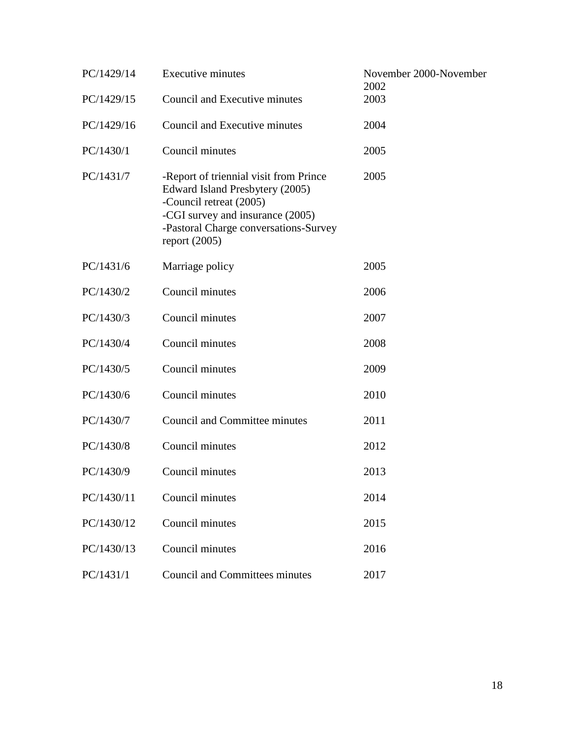| PC/1429/14 | <b>Executive minutes</b>                                                                                                                                                                             | November 2000-November<br>2002 |
|------------|------------------------------------------------------------------------------------------------------------------------------------------------------------------------------------------------------|--------------------------------|
| PC/1429/15 | Council and Executive minutes                                                                                                                                                                        | 2003                           |
| PC/1429/16 | Council and Executive minutes                                                                                                                                                                        | 2004                           |
| PC/1430/1  | Council minutes                                                                                                                                                                                      | 2005                           |
| PC/1431/7  | -Report of triennial visit from Prince<br>Edward Island Presbytery (2005)<br>-Council retreat (2005)<br>-CGI survey and insurance (2005)<br>-Pastoral Charge conversations-Survey<br>report $(2005)$ | 2005                           |
| PC/1431/6  | Marriage policy                                                                                                                                                                                      | 2005                           |
| PC/1430/2  | Council minutes                                                                                                                                                                                      | 2006                           |
| PC/1430/3  | Council minutes                                                                                                                                                                                      | 2007                           |
| PC/1430/4  | Council minutes                                                                                                                                                                                      | 2008                           |
| PC/1430/5  | Council minutes                                                                                                                                                                                      | 2009                           |
| PC/1430/6  | Council minutes                                                                                                                                                                                      | 2010                           |
| PC/1430/7  | <b>Council and Committee minutes</b>                                                                                                                                                                 | 2011                           |
| PC/1430/8  | Council minutes                                                                                                                                                                                      | 2012                           |
| PC/1430/9  | Council minutes                                                                                                                                                                                      | 2013                           |
| PC/1430/11 | Council minutes                                                                                                                                                                                      | 2014                           |
| PC/1430/12 | Council minutes                                                                                                                                                                                      | 2015                           |
| PC/1430/13 | Council minutes                                                                                                                                                                                      | 2016                           |
| PC/1431/1  | <b>Council and Committees minutes</b>                                                                                                                                                                | 2017                           |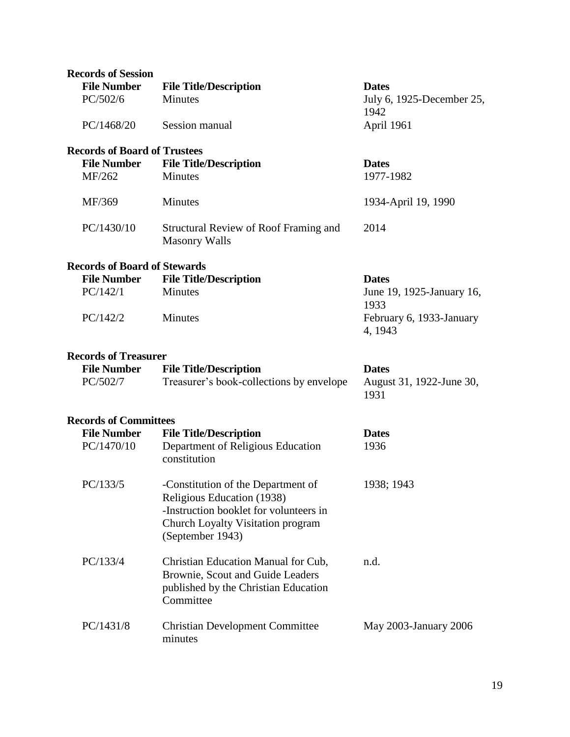| <b>Records of Session</b>                          |                                                                                                                                                                     |                                     |
|----------------------------------------------------|---------------------------------------------------------------------------------------------------------------------------------------------------------------------|-------------------------------------|
| <b>File Number</b>                                 | <b>File Title/Description</b>                                                                                                                                       | <b>Dates</b>                        |
| PC/502/6                                           | <b>Minutes</b>                                                                                                                                                      | July 6, 1925-December 25,           |
|                                                    |                                                                                                                                                                     | 1942                                |
| PC/1468/20                                         | Session manual                                                                                                                                                      | April 1961                          |
| <b>Records of Board of Trustees</b>                |                                                                                                                                                                     |                                     |
| <b>File Number</b>                                 | <b>File Title/Description</b>                                                                                                                                       | <b>Dates</b>                        |
| MF/262                                             | <b>Minutes</b>                                                                                                                                                      | 1977-1982                           |
| MF/369                                             | Minutes                                                                                                                                                             | 1934-April 19, 1990                 |
| PC/1430/10                                         | Structural Review of Roof Framing and<br><b>Masonry Walls</b>                                                                                                       | 2014                                |
| <b>Records of Board of Stewards</b>                |                                                                                                                                                                     |                                     |
| <b>File Number</b>                                 | <b>File Title/Description</b>                                                                                                                                       | <b>Dates</b>                        |
| PC/142/1                                           | Minutes                                                                                                                                                             | June 19, 1925-January 16,<br>1933   |
| PC/142/2                                           | <b>Minutes</b>                                                                                                                                                      | February 6, 1933-January<br>4, 1943 |
| <b>Records of Treasurer</b>                        |                                                                                                                                                                     |                                     |
|                                                    |                                                                                                                                                                     |                                     |
| <b>File Number</b>                                 | <b>File Title/Description</b>                                                                                                                                       | <b>Dates</b>                        |
| PC/502/7                                           | Treasurer's book-collections by envelope                                                                                                                            | August 31, 1922-June 30,<br>1931    |
|                                                    |                                                                                                                                                                     |                                     |
| <b>Records of Committees</b><br><b>File Number</b> |                                                                                                                                                                     | <b>Dates</b>                        |
| PC/1470/10                                         | <b>File Title/Description</b><br>Department of Religious Education<br>constitution                                                                                  | 1936                                |
| PC/133/5                                           | -Constitution of the Department of<br>Religious Education (1938)<br>-Instruction booklet for volunteers in<br>Church Loyalty Visitation program<br>(September 1943) | 1938; 1943                          |
| PC/133/4                                           | Christian Education Manual for Cub,<br>Brownie, Scout and Guide Leaders<br>published by the Christian Education<br>Committee                                        | n.d.                                |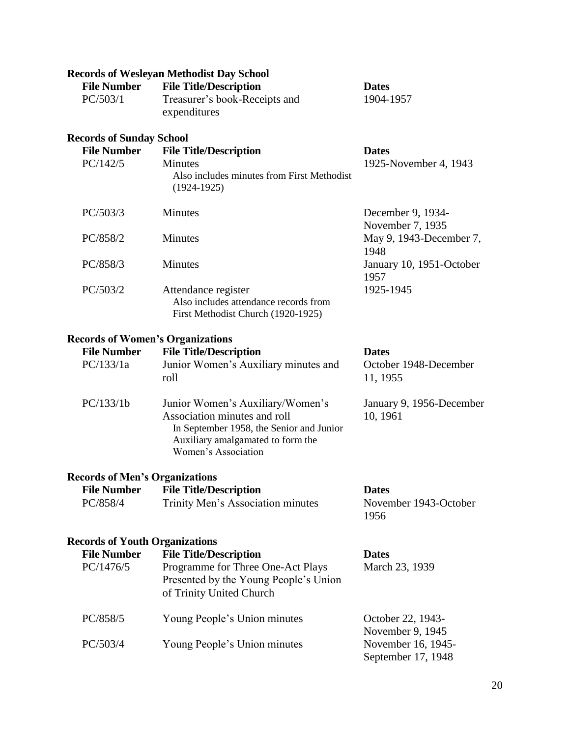# **Records of Wesleyan Methodist Day School**

| <b>File Number</b> | <b>File Title/Description</b> | <b>Dates</b> |
|--------------------|-------------------------------|--------------|
| PC/503/1           | Treasurer's book-Receipts and | 1904-1957    |
|                    | expenditures                  |              |

#### **Records of Sunday School**

| <b>File Number</b><br>PC/142/5 | <b>File Title/Description</b><br>Minutes<br>Also includes minutes from First Methodist<br>$(1924-1925)$ | <b>Dates</b><br>1925-November 4, 1943 |
|--------------------------------|---------------------------------------------------------------------------------------------------------|---------------------------------------|
| PC/503/3                       | Minutes                                                                                                 | December 9, 1934-<br>November 7, 1935 |
| PC/858/2                       | Minutes                                                                                                 | May 9, 1943-December 7,<br>1948       |
| PC/858/3                       | <b>Minutes</b>                                                                                          | January 10, 1951-October<br>1957      |
| PC/503/2                       | Attendance register<br>Also includes attendance records from<br>First Methodist Church (1920-1925)      | 1925-1945                             |

## **Records of Women's Organizations**

| <b>File Number</b>                    | <b>File Title/Description</b>                                                                                                                                            | <b>Dates</b>                         |
|---------------------------------------|--------------------------------------------------------------------------------------------------------------------------------------------------------------------------|--------------------------------------|
| PC/133/1a                             | Junior Women's Auxiliary minutes and<br>roll                                                                                                                             | October 1948-December<br>11, 1955    |
| PC/133/1b                             | Junior Women's Auxiliary/Women's<br>Association minutes and roll<br>In September 1958, the Senior and Junior<br>Auxiliary amalgamated to form the<br>Women's Association | January 9, 1956-December<br>10, 1961 |
| <b>Records of Men's Organizations</b> |                                                                                                                                                                          |                                      |
| <b>File Number</b>                    | <b>File Title/Description</b>                                                                                                                                            | <b>Dates</b>                         |
| PC/858/4                              | Trinity Men's Association minutes                                                                                                                                        | November 1943-October<br>1956        |
| <b>Records of Youth Organizations</b> |                                                                                                                                                                          |                                      |
| <b>File Number</b>                    | <b>File Title/Description</b>                                                                                                                                            | <b>Dates</b>                         |
| PC/1476/5                             | Programme for Three One-Act Plays<br>Presented by the Young People's Union<br>of Trinity United Church                                                                   | March 23, 1939                       |
| PC/858/5                              | Young People's Union minutes                                                                                                                                             | October 22, 1943-                    |

November 9, 1945<br>November 16, 1945-PC/503/4 Young People's Union minutes September 17, 1948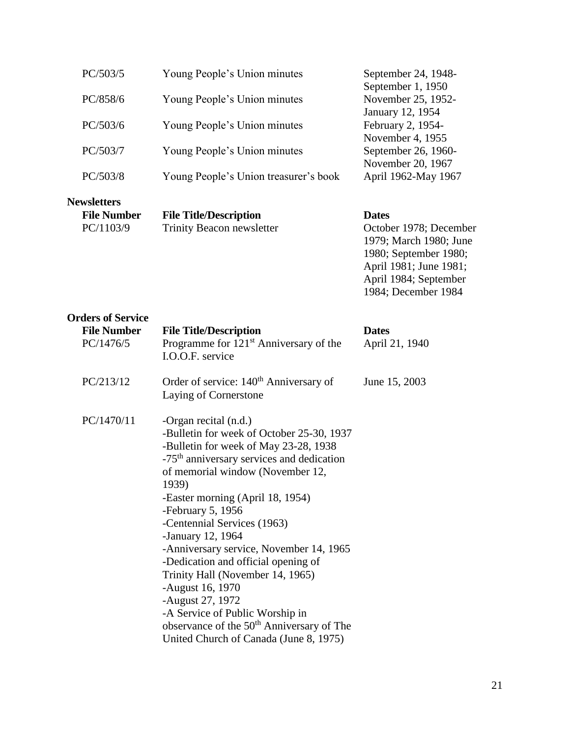| PC/503/5                                              | Young People's Union minutes                                                                                                                                                                                                                                                                                                                                                                                                                                                                                                                                                             | September 24, 1948-                                                                                                                                                 |
|-------------------------------------------------------|------------------------------------------------------------------------------------------------------------------------------------------------------------------------------------------------------------------------------------------------------------------------------------------------------------------------------------------------------------------------------------------------------------------------------------------------------------------------------------------------------------------------------------------------------------------------------------------|---------------------------------------------------------------------------------------------------------------------------------------------------------------------|
| PC/858/6                                              | Young People's Union minutes                                                                                                                                                                                                                                                                                                                                                                                                                                                                                                                                                             | September 1, 1950<br>November 25, 1952-                                                                                                                             |
| PC/503/6                                              | Young People's Union minutes                                                                                                                                                                                                                                                                                                                                                                                                                                                                                                                                                             | January 12, 1954<br>February 2, 1954-<br>November 4, 1955                                                                                                           |
| PC/503/7                                              | Young People's Union minutes                                                                                                                                                                                                                                                                                                                                                                                                                                                                                                                                                             | September 26, 1960-<br>November 20, 1967                                                                                                                            |
| PC/503/8                                              | Young People's Union treasurer's book                                                                                                                                                                                                                                                                                                                                                                                                                                                                                                                                                    | April 1962-May 1967                                                                                                                                                 |
| <b>Newsletters</b><br><b>File Number</b><br>PC/1103/9 | <b>File Title/Description</b><br><b>Trinity Beacon newsletter</b>                                                                                                                                                                                                                                                                                                                                                                                                                                                                                                                        | <b>Dates</b><br>October 1978; December<br>1979; March 1980; June<br>1980; September 1980;<br>April 1981; June 1981;<br>April 1984; September<br>1984; December 1984 |
| <b>Orders of Service</b>                              |                                                                                                                                                                                                                                                                                                                                                                                                                                                                                                                                                                                          |                                                                                                                                                                     |
| <b>File Number</b>                                    | <b>File Title/Description</b>                                                                                                                                                                                                                                                                                                                                                                                                                                                                                                                                                            | <b>Dates</b>                                                                                                                                                        |
| PC/1476/5                                             | Programme for 121 <sup>st</sup> Anniversary of the<br>I.O.O.F. service                                                                                                                                                                                                                                                                                                                                                                                                                                                                                                                   | April 21, 1940                                                                                                                                                      |
| PC/213/12                                             | Order of service: 140 <sup>th</sup> Anniversary of<br>Laying of Cornerstone                                                                                                                                                                                                                                                                                                                                                                                                                                                                                                              | June 15, 2003                                                                                                                                                       |
| PC/1470/11                                            | -Organ recital (n.d.)<br>-Bulletin for week of October 25-30, 1937<br>-Bulletin for week of May 23-28, 1938<br>-75 <sup>th</sup> anniversary services and dedication<br>of memorial window (November 12,<br>1939)<br>-Easter morning (April 18, 1954)<br>-February 5, 1956<br>-Centennial Services (1963)<br>-January 12, 1964<br>-Anniversary service, November 14, 1965<br>-Dedication and official opening of<br>Trinity Hall (November 14, 1965)<br>-August 16, 1970<br>-August 27, 1972<br>-A Service of Public Worship in<br>observance of the 50 <sup>th</sup> Anniversary of The |                                                                                                                                                                     |

United Church of Canada (June 8, 1975)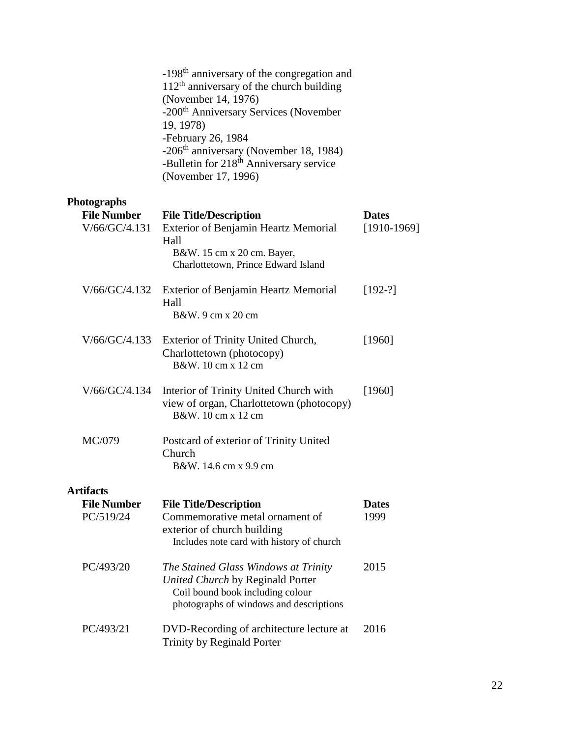|                                     | -198 <sup>th</sup> anniversary of the congregation and<br>$112th$ anniversary of the church building<br>(November 14, 1976)<br>-200 <sup>th</sup> Anniversary Services (November<br>19, 1978)<br>-February 26, 1984<br>-206 <sup>th</sup> anniversary (November 18, 1984)<br>-Bulletin for 218 <sup>th</sup> Anniversary service<br>(November 17, 1996) |                               |
|-------------------------------------|---------------------------------------------------------------------------------------------------------------------------------------------------------------------------------------------------------------------------------------------------------------------------------------------------------------------------------------------------------|-------------------------------|
| <b>Photographs</b>                  |                                                                                                                                                                                                                                                                                                                                                         |                               |
| <b>File Number</b><br>V/66/GC/4.131 | <b>File Title/Description</b><br>Exterior of Benjamin Heartz Memorial<br>Hall<br>B&W. 15 cm x 20 cm. Bayer,<br>Charlottetown, Prince Edward Island                                                                                                                                                                                                      | <b>Dates</b><br>$[1910-1969]$ |
| V/66/GC/4.132                       | Exterior of Benjamin Heartz Memorial<br>Hall<br>B&W, 9 cm x 20 cm                                                                                                                                                                                                                                                                                       | $[192-?]$                     |
| V/66/GC/4.133                       | Exterior of Trinity United Church,<br>Charlottetown (photocopy)<br>B&W, 10 cm x 12 cm                                                                                                                                                                                                                                                                   | [1960]                        |
| V/66/GC/4.134                       | Interior of Trinity United Church with<br>view of organ, Charlottetown (photocopy)<br>B&W. 10 cm x 12 cm                                                                                                                                                                                                                                                | [1960]                        |
| MC/079                              | Postcard of exterior of Trinity United<br>Church<br>B&W, 14.6 cm x 9.9 cm                                                                                                                                                                                                                                                                               |                               |
| <b>Artifacts</b>                    |                                                                                                                                                                                                                                                                                                                                                         |                               |
| <b>File Number</b><br>PC/519/24     | <b>File Title/Description</b><br>Commemorative metal ornament of<br>exterior of church building<br>Includes note card with history of church                                                                                                                                                                                                            | <b>Dates</b><br>1999          |
| PC/493/20                           | The Stained Glass Windows at Trinity<br>United Church by Reginald Porter<br>Coil bound book including colour<br>photographs of windows and descriptions                                                                                                                                                                                                 | 2015                          |
| PC/493/21                           | DVD-Recording of architecture lecture at<br>Trinity by Reginald Porter                                                                                                                                                                                                                                                                                  | 2016                          |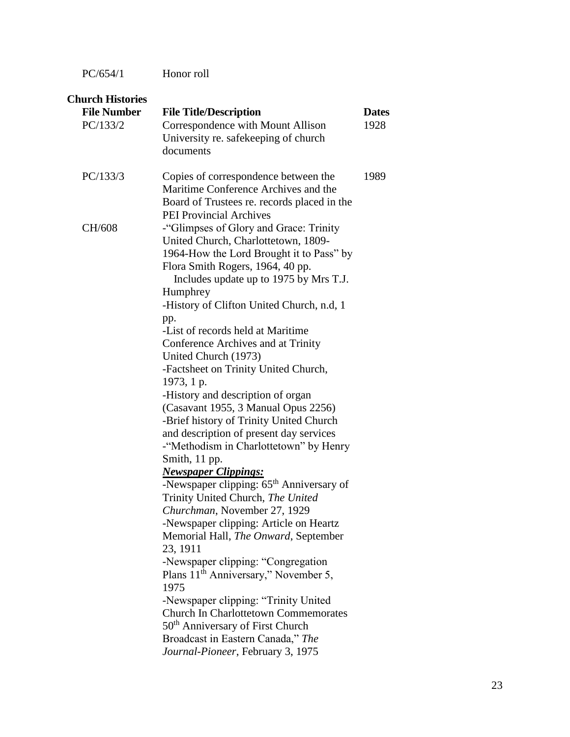PC/654/1 Honor roll

| <b>Church Histories</b>        |                                                                                                                                                                                                                                                                                                                                                                                                                                                                                                                                                                                                                                                                                                                                                                                                                                                                                                                                                                                                                                                                                                                                          |                      |
|--------------------------------|------------------------------------------------------------------------------------------------------------------------------------------------------------------------------------------------------------------------------------------------------------------------------------------------------------------------------------------------------------------------------------------------------------------------------------------------------------------------------------------------------------------------------------------------------------------------------------------------------------------------------------------------------------------------------------------------------------------------------------------------------------------------------------------------------------------------------------------------------------------------------------------------------------------------------------------------------------------------------------------------------------------------------------------------------------------------------------------------------------------------------------------|----------------------|
| <b>File Number</b><br>PC/133/2 | <b>File Title/Description</b><br>Correspondence with Mount Allison<br>University re. safekeeping of church<br>documents                                                                                                                                                                                                                                                                                                                                                                                                                                                                                                                                                                                                                                                                                                                                                                                                                                                                                                                                                                                                                  | <b>Dates</b><br>1928 |
| PC/133/3                       | Copies of correspondence between the<br>Maritime Conference Archives and the<br>Board of Trustees re. records placed in the                                                                                                                                                                                                                                                                                                                                                                                                                                                                                                                                                                                                                                                                                                                                                                                                                                                                                                                                                                                                              | 1989                 |
| CH/608                         | <b>PEI Provincial Archives</b><br>-"Glimpses of Glory and Grace: Trinity<br>United Church, Charlottetown, 1809-<br>1964-How the Lord Brought it to Pass" by<br>Flora Smith Rogers, 1964, 40 pp.<br>Includes update up to 1975 by Mrs T.J.<br>Humphrey<br>-History of Clifton United Church, n.d, 1<br>pp.<br>-List of records held at Maritime<br>Conference Archives and at Trinity<br>United Church (1973)<br>-Factsheet on Trinity United Church,<br>1973, 1 p.<br>-History and description of organ<br>(Casavant 1955, 3 Manual Opus 2256)<br>-Brief history of Trinity United Church<br>and description of present day services<br>-"Methodism in Charlottetown" by Henry<br>Smith, 11 pp.<br><b>Newspaper Clippings:</b><br>-Newspaper clipping: 65 <sup>th</sup> Anniversary of<br>Trinity United Church, The United<br>Churchman, November 27, 1929<br>-Newspaper clipping: Article on Heartz<br>Memorial Hall, The Onward, September<br>23, 1911<br>-Newspaper clipping: "Congregation<br>Plans $11th$ Anniversary," November 5,<br>1975<br>-Newspaper clipping: "Trinity United<br><b>Church In Charlottetown Commemorates</b> |                      |
|                                | 50 <sup>th</sup> Anniversary of First Church<br>Broadcast in Eastern Canada," The<br>Journal-Pioneer, February 3, 1975                                                                                                                                                                                                                                                                                                                                                                                                                                                                                                                                                                                                                                                                                                                                                                                                                                                                                                                                                                                                                   |                      |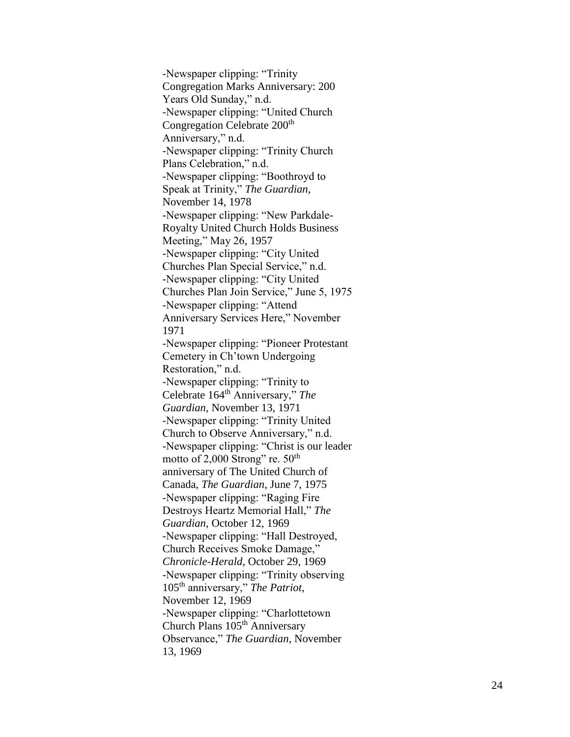-Newspaper clipping: "Trinity Congregation Marks Anniversary: 200 Years Old Sunday," n.d. -Newspaper clipping: "United Church Congregation Celebrate 200<sup>th</sup> Anniversary," n.d. -Newspaper clipping: "Trinity Church Plans Celebration," n.d. -Newspaper clipping: "Boothroyd to Speak at Trinity," *The Guardian*, November 14, 1978 -Newspaper clipping: "New Parkdale - Royalty United Church Holds Business Meeting," May 26, 1957 -Newspaper clipping: "City United Churches Plan Special Service," n.d. -Newspaper clipping: "City United Churches Plan Join Service," June 5, 1975 -Newspaper clipping: "Attend Anniversary Services Here," November 1971 -Newspaper clipping: "Pioneer Protestant Cemetery in Ch'town Undergoing Restoration," n.d. -Newspaper clipping: "Trinity to Celebrate 164th Anniversary," *The Guardian*, November 13, 1971 -Newspaper clipping: "Trinity United Church to Observe Anniversary," n.d. -Newspaper clipping: "Christ is our leader motto of  $2,000$  Strong" re.  $50<sup>th</sup>$ anniversary of The United Church of Canada, *The Guardian*, June 7, 1975 -Newspaper clipping: "Raging Fire Destroys Heartz Memorial Hall," *The Guardian*, October 12, 1969 -Newspaper clipping: "Hall Destroyed, Church Receives Smoke Damage," *Chronicle -Herald*, October 29, 1969 -Newspaper clipping: "Trinity observing 105th anniversary," *The Patriot*, November 12, 1969 -Newspaper clipping: "Charlottetown Church Plans 105<sup>th</sup> Anniversary Observance," *The Guardian*, November 13, 1969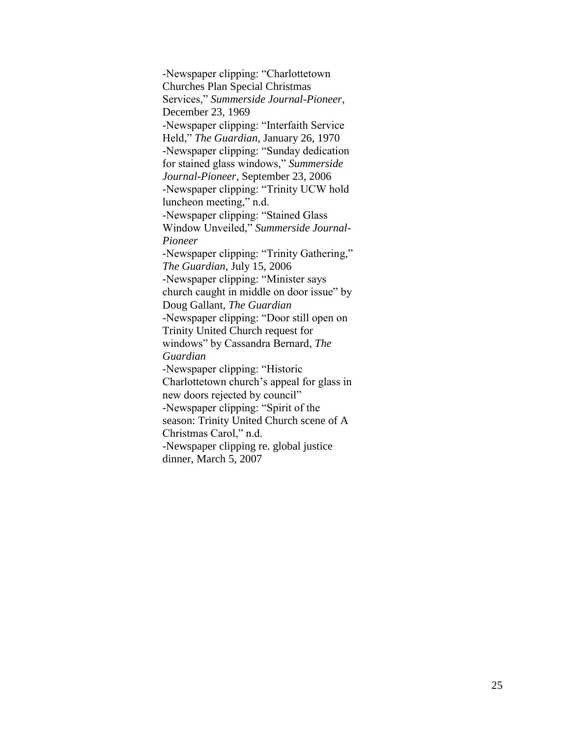-Newspaper clipping: "Charlottetown Churches Plan Special Christmas Services," *Summerside Journal-Pioneer,*  December 23, 1969 -Newspaper clipping: "Interfaith Service Held," *The Guardian*, January 26, 1970 -Newspaper clipping: "Sunday dedication for stained glass windows," *Summerside Journal-Pioneer,* September 23, 2006 -Newspaper clipping: "Trinity UCW hold luncheon meeting," n.d. -Newspaper clipping: "Stained Glass Window Unveiled," *Summerside Journal-Pioneer* -Newspaper clipping: "Trinity Gathering," *The Guardian*, July 15, 2006 -Newspaper clipping: "Minister says church caught in middle on door issue" by Doug Gallant, *The Guardian* -Newspaper clipping: "Door still open on Trinity United Church request for windows" by Cassandra Bernard, *The Guardian* -Newspaper clipping: "Historic Charlottetown church's appeal for glass in new doors rejected by council" -Newspaper clipping: "Spirit of the season: Trinity United Church scene of A Christmas Carol," n.d. -Newspaper clipping re. global justice dinner, March 5, 2007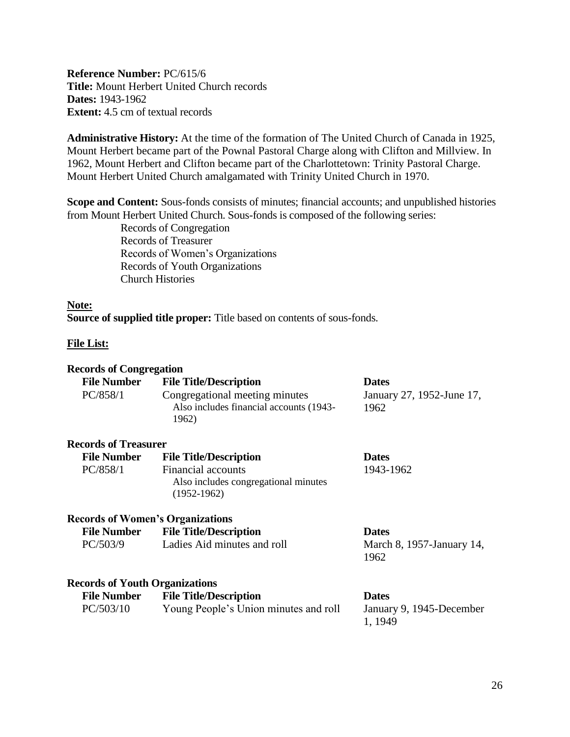<span id="page-25-0"></span>**Reference Number:** PC/615/6 **Title:** Mount Herbert United Church records **Dates:** 1943-1962 **Extent:** 4.5 cm of textual records

**Administrative History:** At the time of the formation of The United Church of Canada in 1925, Mount Herbert became part of the Pownal Pastoral Charge along with Clifton and Millview. In 1962, Mount Herbert and Clifton became part of the Charlottetown: Trinity Pastoral Charge. Mount Herbert United Church amalgamated with Trinity United Church in 1970.

**Scope and Content:** Sous-fonds consists of minutes; financial accounts; and unpublished histories from Mount Herbert United Church. Sous-fonds is composed of the following series:

> Records of Congregation Records of Treasurer Records of Women's Organizations Records of Youth Organizations Church Histories

#### **Note:**

**Source of supplied title proper:** Title based on contents of sous-fonds.

#### **File List:**

# **Records of Congregation**

| <b>File Number</b><br>PC/858/1          | <b>File Title/Description</b><br>Congregational meeting minutes<br>Also includes financial accounts (1943-<br>1962) | <b>Dates</b><br>January 27, 1952-June 17,<br>1962   |
|-----------------------------------------|---------------------------------------------------------------------------------------------------------------------|-----------------------------------------------------|
| <b>Records of Treasurer</b>             |                                                                                                                     |                                                     |
| <b>File Number</b>                      | <b>File Title/Description</b>                                                                                       | <b>Dates</b>                                        |
| PC/858/1                                | <b>Financial accounts</b><br>Also includes congregational minutes<br>$(1952 - 1962)$                                | 1943-1962                                           |
| <b>Records of Women's Organizations</b> |                                                                                                                     |                                                     |
| <b>File Number</b>                      | <b>File Title/Description</b>                                                                                       | <b>Dates</b>                                        |
| PC/503/9                                | Ladies Aid minutes and roll                                                                                         | March 8, 1957-January 14,<br>1962                   |
| <b>Records of Youth Organizations</b>   |                                                                                                                     |                                                     |
| <b>File Number</b><br>PC/503/10         | <b>File Title/Description</b><br>Young People's Union minutes and roll                                              | <b>Dates</b><br>January 9, 1945-December<br>1, 1949 |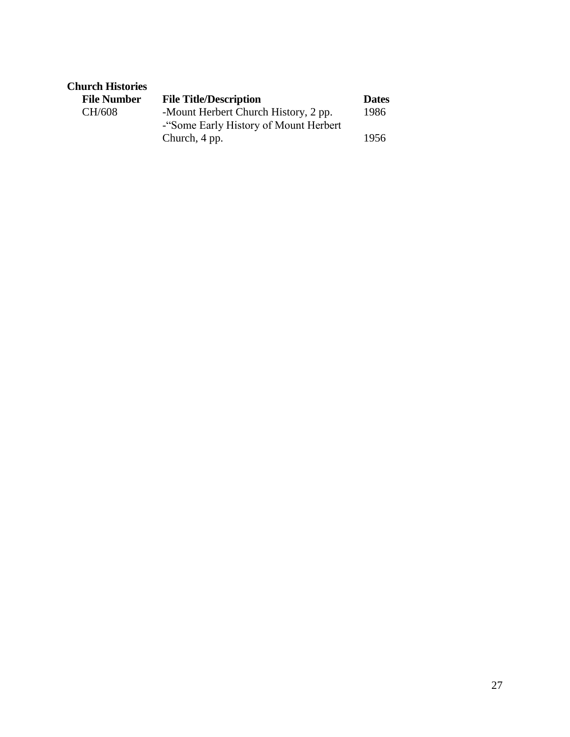| <b>Church Histories</b> |                                                                               |              |
|-------------------------|-------------------------------------------------------------------------------|--------------|
| <b>File Number</b>      | <b>File Title/Description</b>                                                 | <b>Dates</b> |
| CH/608                  | -Mount Herbert Church History, 2 pp.<br>-"Some Early History of Mount Herbert | 1986         |
|                         | Church, 4 pp.                                                                 | 1956         |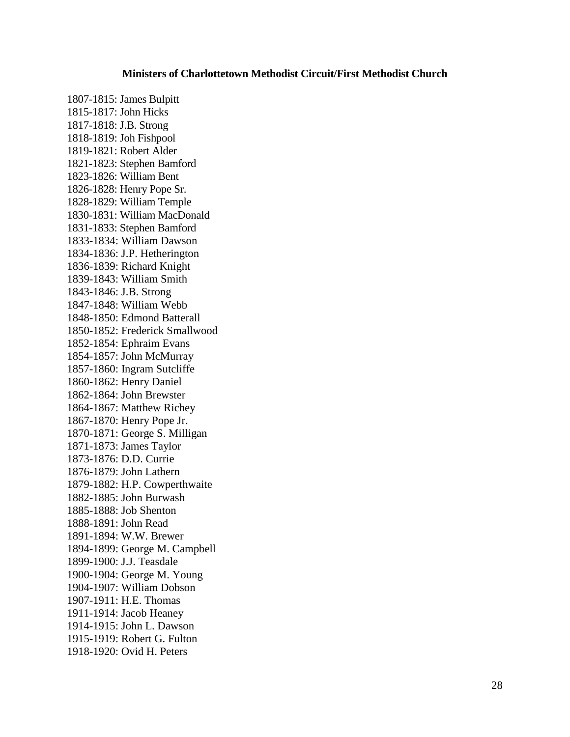#### **Ministers of Charlottetown Methodist Circuit/First Methodist Church**

<span id="page-27-0"></span>1807-1815: James Bulpitt 1815-1817: John Hicks 1817-1818: J.B. Strong 1818-1819: Joh Fishpool 1819-1821: Robert Alder 1821-1823: Stephen Bamford 1823-1826: William Bent 1826-1828: Henry Pope Sr. 1828-1829: William Temple 1830-1831: William MacDonald 1831-1833: Stephen Bamford 1833-1834: William Dawson 1834-1836: J.P. Hetherington 1836-1839: Richard Knight 1839-1843: William Smith 1843-1846: J.B. Strong 1847-1848: William Webb 1848-1850: Edmond Batterall 1850-1852: Frederick Smallwood 1852-1854: Ephraim Evans 1854-1857: John McMurray 1857-1860: Ingram Sutcliffe 1860-1862: Henry Daniel 1862-1864: John Brewster 1864-1867: Matthew Richey 1867-1870: Henry Pope Jr. 1870-1871: George S. Milligan 1871-1873: James Taylor 1873-1876: D.D. Currie 1876-1879: John Lathern 1879-1882: H.P. Cowperthwaite 1882-1885: John Burwash 1885-1888: Job Shenton 1888-1891: John Read 1891-1894: W.W. Brewer 1894-1899: George M. Campbell 1899-1900: J.J. Teasdale 1900-1904: George M. Young 1904-1907: William Dobson 1907-1911: H.E. Thomas 1911-1914: Jacob Heaney 1914-1915: John L. Dawson 1915-1919: Robert G. Fulton 1918-1920: Ovid H. Peters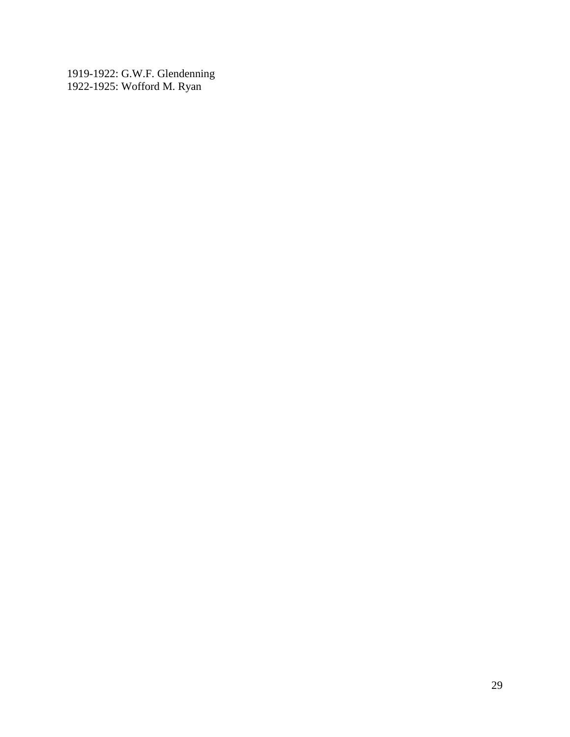1919-1922: G.W.F. Glendenning 1922-1925: Wofford M. Ryan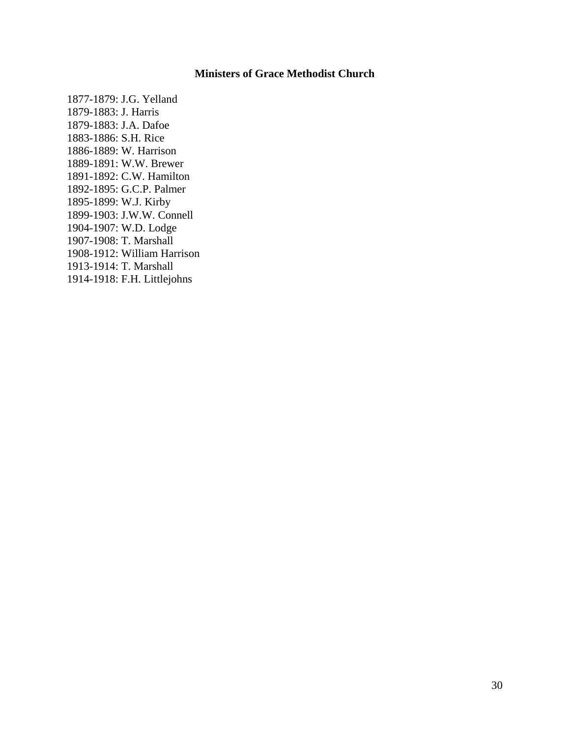### **Ministers of Grace Methodist Church**

<span id="page-29-0"></span>1877-1879: J.G. Yelland 1879-1883: J. Harris 1879-1883: J.A. Dafoe 1883-1886: S.H. Rice 1886-1889: W. Harrison 1889-1891: W.W. Brewer 1891-1892: C.W. Hamilton 1892-1895: G.C.P. Palmer 1895-1899: W.J. Kirby 1899-1903: J.W.W. Connell 1904-1907: W.D. Lodge 1907-1908: T. Marshall 1908-1912: William Harrison 1913-1914: T. Marshall 1914-1918: F.H. Littlejohns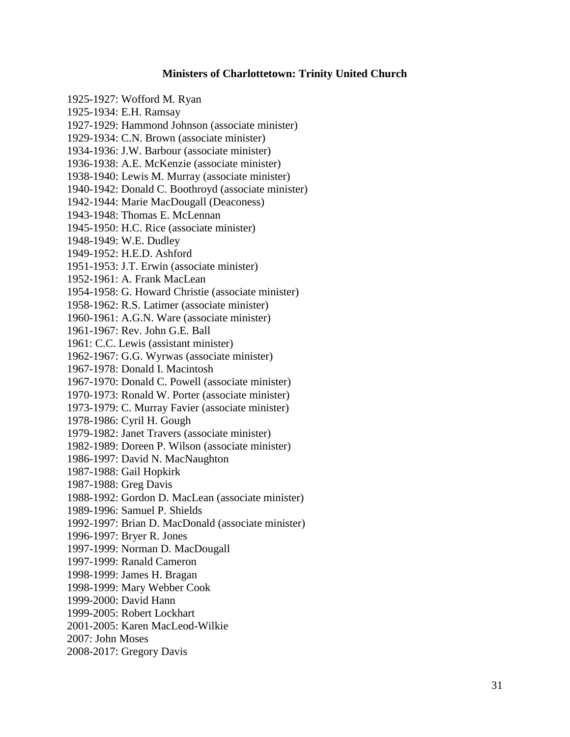#### **Ministers of Charlottetown: Trinity United Church**

<span id="page-30-0"></span>1925-1927: Wofford M. Ryan 1925-1934: E.H. Ramsay 1927-1929: Hammond Johnson (associate minister) 1929-1934: C.N. Brown (associate minister) 1934-1936: J.W. Barbour (associate minister) 1936-1938: A.E. McKenzie (associate minister) 1938-1940: Lewis M. Murray (associate minister) 1940-1942: Donald C. Boothroyd (associate minister) 1942-1944: Marie MacDougall (Deaconess) 1943-1948: Thomas E. McLennan 1945-1950: H.C. Rice (associate minister) 1948-1949: W.E. Dudley 1949-1952: H.E.D. Ashford 1951-1953: J.T. Erwin (associate minister) 1952-1961: A. Frank MacLean 1954-1958: G. Howard Christie (associate minister) 1958-1962: R.S. Latimer (associate minister) 1960-1961: A.G.N. Ware (associate minister) 1961-1967: Rev. John G.E. Ball 1961: C.C. Lewis (assistant minister) 1962-1967: G.G. Wyrwas (associate minister) 1967-1978: Donald I. Macintosh 1967-1970: Donald C. Powell (associate minister) 1970-1973: Ronald W. Porter (associate minister) 1973-1979: C. Murray Favier (associate minister) 1978-1986: Cyril H. Gough 1979-1982: Janet Travers (associate minister) 1982-1989: Doreen P. Wilson (associate minister) 1986-1997: David N. MacNaughton 1987-1988: Gail Hopkirk 1987-1988: Greg Davis 1988-1992: Gordon D. MacLean (associate minister) 1989-1996: Samuel P. Shields 1992-1997: Brian D. MacDonald (associate minister) 1996-1997: Bryer R. Jones 1997-1999: Norman D. MacDougall 1997-1999: Ranald Cameron 1998-1999: James H. Bragan 1998-1999: Mary Webber Cook 1999-2000: David Hann 1999-2005: Robert Lockhart 2001-2005: Karen MacLeod-Wilkie 2007: John Moses 2008-2017: Gregory Davis